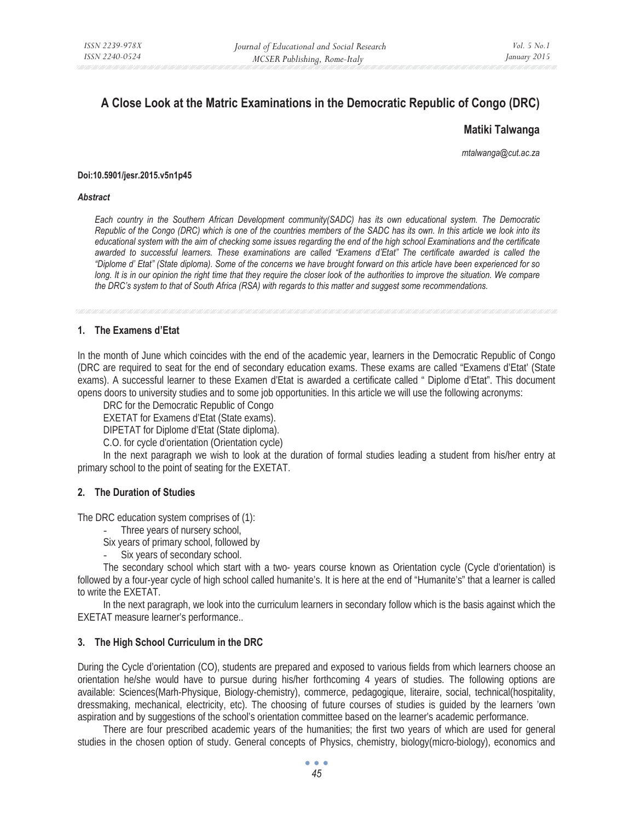# **A Close Look at the Matric Examinations in the Democratic Republic of Congo (DRC)**

## **Matiki Talwanga**

*mtalwanga@cut.ac.za* 

#### **Doi:10.5901/jesr.2015.v5n1p45**

#### *Abstract*

*Each country in the Southern African Development community(SADC) has its own educational system. The Democratic Republic of the Congo (DRC) which is one of the countries members of the SADC has its own. In this article we look into its educational system with the aim of checking some issues regarding the end of the high school Examinations and the certificate awarded to successful learners. These examinations are called "Examens d'Etat" The certificate awarded is called the "Diplome d' Etat" (State diploma). Some of the concerns we have brought forward on this article have been experienced for so long. It is in our opinion the right time that they require the closer look of the authorities to improve the situation. We compare the DRC's system to that of South Africa (RSA) with regards to this matter and suggest some recommendations.* 

## **1. The Examens d'Etat**

In the month of June which coincides with the end of the academic year, learners in the Democratic Republic of Congo (DRC are required to seat for the end of secondary education exams. These exams are called "Examens d'Etat' (State exams). A successful learner to these Examen d'Etat is awarded a certificate called " Diplome d'Etat". This document opens doors to university studies and to some job opportunities. In this article we will use the following acronyms:

DRC for the Democratic Republic of Congo

EXETAT for Examens d'Etat (State exams).

DIPETAT for Diplome d'Etat (State diploma).

C.O. for cycle d'orientation (Orientation cycle)

In the next paragraph we wish to look at the duration of formal studies leading a student from his/her entry at primary school to the point of seating for the EXETAT.

## **2. The Duration of Studies**

The DRC education system comprises of (1):

- Three years of nursery school,
- Six years of primary school, followed by
- Six years of secondary school.

The secondary school which start with a two- years course known as Orientation cycle (Cycle d'orientation) is followed by a four-year cycle of high school called humanite's. It is here at the end of "Humanite's" that a learner is called to write the EXETAT.

In the next paragraph, we look into the curriculum learners in secondary follow which is the basis against which the EXETAT measure learner's performance..

## **3. The High School Curriculum in the DRC**

During the Cycle d'orientation (CO), students are prepared and exposed to various fields from which learners choose an orientation he/she would have to pursue during his/her forthcoming 4 years of studies. The following options are available: Sciences(Marh-Physique, Biology-chemistry), commerce, pedagogique, literaire, social, technical(hospitality, dressmaking, mechanical, electricity, etc). The choosing of future courses of studies is guided by the learners 'own aspiration and by suggestions of the school's orientation committee based on the learner's academic performance.

There are four prescribed academic years of the humanities; the first two years of which are used for general studies in the chosen option of study. General concepts of Physics, chemistry, biology(micro-biology), economics and

 $\bullet$   $\bullet$   $\bullet$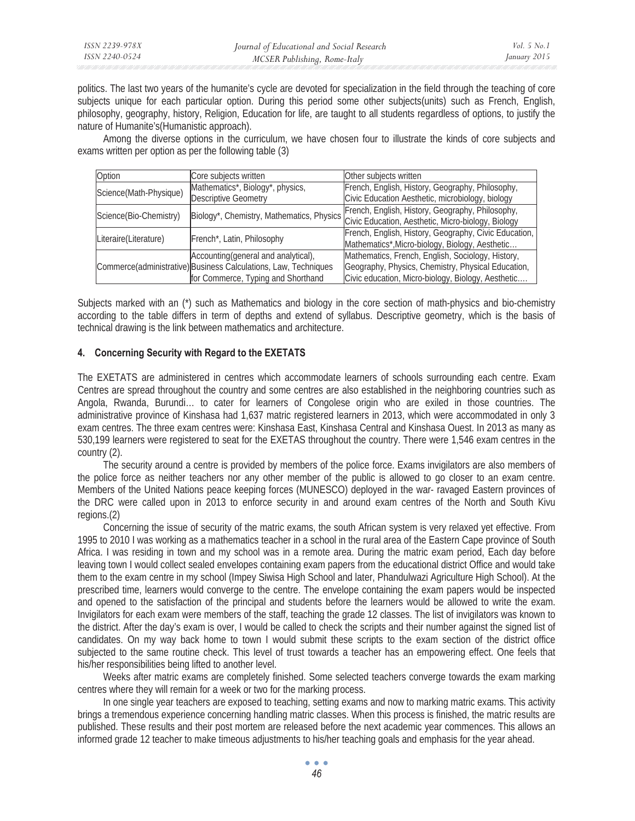politics. The last two years of the humanite's cycle are devoted for specialization in the field through the teaching of core subjects unique for each particular option. During this period some other subjects(units) such as French, English, philosophy, geography, history, Religion, Education for life, are taught to all students regardless of options, to justify the nature of Humanite's(Humanistic approach).

Among the diverse options in the curriculum, we have chosen four to illustrate the kinds of core subjects and exams written per option as per the following table (3)

| Option                 | Core subjects written                                           | Other subjects written                                |  |
|------------------------|-----------------------------------------------------------------|-------------------------------------------------------|--|
| Science(Math-Physique) | Mathematics*, Biology*, physics,                                | French, English, History, Geography, Philosophy,      |  |
|                        | <b>Descriptive Geometry</b>                                     | Civic Education Aesthetic, microbiology, biology      |  |
| Science(Bio-Chemistry) | Biology*, Chemistry, Mathematics, Physics                       | French, English, History, Geography, Philosophy,      |  |
|                        |                                                                 | Civic Education, Aesthetic, Micro-biology, Biology    |  |
| Literaire(Literature)  | French*, Latin, Philosophy                                      | French, English, History, Geography, Civic Education, |  |
|                        |                                                                 | Mathematics*, Micro-biology, Biology, Aesthetic       |  |
|                        | Accounting (general and analytical),                            | Mathematics, French, English, Sociology, History,     |  |
|                        | Commerce(administrative) Business Calculations, Law, Techniques | Geography, Physics, Chemistry, Physical Education,    |  |
|                        | for Commerce, Typing and Shorthand                              | Civic education, Micro-biology, Biology, Aesthetic    |  |

Subjects marked with an (\*) such as Mathematics and biology in the core section of math-physics and bio-chemistry according to the table differs in term of depths and extend of syllabus. Descriptive geometry, which is the basis of technical drawing is the link between mathematics and architecture.

## **4. Concerning Security with Regard to the EXETATS**

The EXETATS are administered in centres which accommodate learners of schools surrounding each centre. Exam Centres are spread throughout the country and some centres are also established in the neighboring countries such as Angola, Rwanda, Burundi… to cater for learners of Congolese origin who are exiled in those countries. The administrative province of Kinshasa had 1,637 matric registered learners in 2013, which were accommodated in only 3 exam centres. The three exam centres were: Kinshasa East, Kinshasa Central and Kinshasa Ouest. In 2013 as many as 530,199 learners were registered to seat for the EXETAS throughout the country. There were 1,546 exam centres in the country (2).

The security around a centre is provided by members of the police force. Exams invigilators are also members of the police force as neither teachers nor any other member of the public is allowed to go closer to an exam centre. Members of the United Nations peace keeping forces (MUNESCO) deployed in the war- ravaged Eastern provinces of the DRC were called upon in 2013 to enforce security in and around exam centres of the North and South Kivu regions.(2)

Concerning the issue of security of the matric exams, the south African system is very relaxed yet effective. From 1995 to 2010 I was working as a mathematics teacher in a school in the rural area of the Eastern Cape province of South Africa. I was residing in town and my school was in a remote area. During the matric exam period, Each day before leaving town I would collect sealed envelopes containing exam papers from the educational district Office and would take them to the exam centre in my school (Impey Siwisa High School and later, Phandulwazi Agriculture High School). At the prescribed time, learners would converge to the centre. The envelope containing the exam papers would be inspected and opened to the satisfaction of the principal and students before the learners would be allowed to write the exam. Invigilators for each exam were members of the staff, teaching the grade 12 classes. The list of invigilators was known to the district. After the day's exam is over, I would be called to check the scripts and their number against the signed list of candidates. On my way back home to town I would submit these scripts to the exam section of the district office subjected to the same routine check. This level of trust towards a teacher has an empowering effect. One feels that his/her responsibilities being lifted to another level.

Weeks after matric exams are completely finished. Some selected teachers converge towards the exam marking centres where they will remain for a week or two for the marking process.

In one single year teachers are exposed to teaching, setting exams and now to marking matric exams. This activity brings a tremendous experience concerning handling matric classes. When this process is finished, the matric results are published. These results and their post mortem are released before the next academic year commences. This allows an informed grade 12 teacher to make timeous adjustments to his/her teaching goals and emphasis for the year ahead.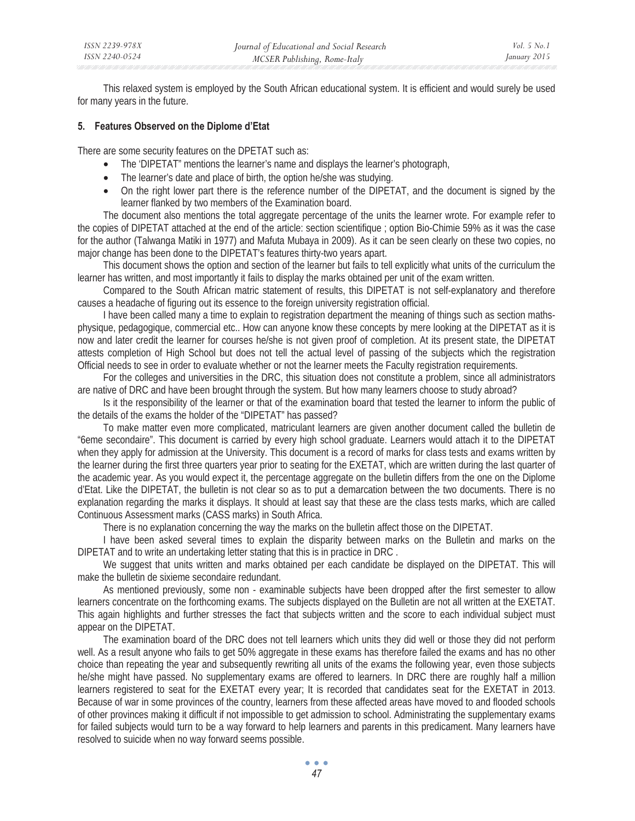This relaxed system is employed by the South African educational system. It is efficient and would surely be used for many years in the future.

## **5. Features Observed on the Diplome d'Etat**

There are some security features on the DPETAT such as:

- The 'DIPETAT" mentions the learner's name and displays the learner's photograph,
- The learner's date and place of birth, the option he/she was studying.
- On the right lower part there is the reference number of the DIPETAT, and the document is signed by the learner flanked by two members of the Examination board.

The document also mentions the total aggregate percentage of the units the learner wrote. For example refer to the copies of DIPETAT attached at the end of the article: section scientifique ; option Bio-Chimie 59% as it was the case for the author (Talwanga Matiki in 1977) and Mafuta Mubaya in 2009). As it can be seen clearly on these two copies, no major change has been done to the DIPETAT's features thirty-two years apart.

This document shows the option and section of the learner but fails to tell explicitly what units of the curriculum the learner has written, and most importantly it fails to display the marks obtained per unit of the exam written.

Compared to the South African matric statement of results, this DIPETAT is not self-explanatory and therefore causes a headache of figuring out its essence to the foreign university registration official.

I have been called many a time to explain to registration department the meaning of things such as section mathsphysique, pedagogique, commercial etc.. How can anyone know these concepts by mere looking at the DIPETAT as it is now and later credit the learner for courses he/she is not given proof of completion. At its present state, the DIPETAT attests completion of High School but does not tell the actual level of passing of the subjects which the registration Official needs to see in order to evaluate whether or not the learner meets the Faculty registration requirements.

For the colleges and universities in the DRC, this situation does not constitute a problem, since all administrators are native of DRC and have been brought through the system. But how many learners choose to study abroad?

Is it the responsibility of the learner or that of the examination board that tested the learner to inform the public of the details of the exams the holder of the "DIPETAT" has passed?

To make matter even more complicated, matriculant learners are given another document called the bulletin de "6eme secondaire". This document is carried by every high school graduate. Learners would attach it to the DIPETAT when they apply for admission at the University. This document is a record of marks for class tests and exams written by the learner during the first three quarters year prior to seating for the EXETAT, which are written during the last quarter of the academic year. As you would expect it, the percentage aggregate on the bulletin differs from the one on the Diplome d'Etat. Like the DIPETAT, the bulletin is not clear so as to put a demarcation between the two documents. There is no explanation regarding the marks it displays. It should at least say that these are the class tests marks, which are called Continuous Assessment marks (CASS marks) in South Africa.

There is no explanation concerning the way the marks on the bulletin affect those on the DIPETAT.

I have been asked several times to explain the disparity between marks on the Bulletin and marks on the DIPETAT and to write an undertaking letter stating that this is in practice in DRC .

We suggest that units written and marks obtained per each candidate be displayed on the DIPETAT. This will make the bulletin de sixieme secondaire redundant.

As mentioned previously, some non - examinable subjects have been dropped after the first semester to allow learners concentrate on the forthcoming exams. The subjects displayed on the Bulletin are not all written at the EXETAT. This again highlights and further stresses the fact that subjects written and the score to each individual subject must appear on the DIPETAT.

The examination board of the DRC does not tell learners which units they did well or those they did not perform well. As a result anyone who fails to get 50% aggregate in these exams has therefore failed the exams and has no other choice than repeating the year and subsequently rewriting all units of the exams the following year, even those subjects he/she might have passed. No supplementary exams are offered to learners. In DRC there are roughly half a million learners registered to seat for the EXETAT every year; It is recorded that candidates seat for the EXETAT in 2013. Because of war in some provinces of the country, learners from these affected areas have moved to and flooded schools of other provinces making it difficult if not impossible to get admission to school. Administrating the supplementary exams for failed subjects would turn to be a way forward to help learners and parents in this predicament. Many learners have resolved to suicide when no way forward seems possible.